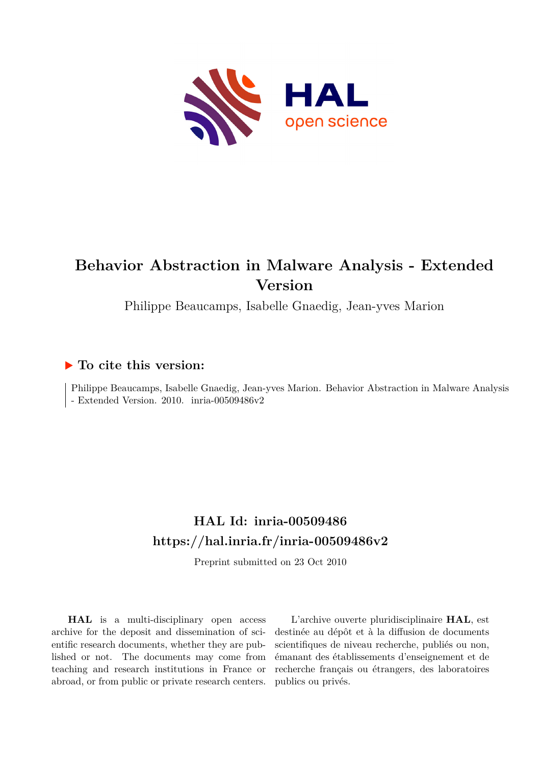

# **Behavior Abstraction in Malware Analysis - Extended Version**

Philippe Beaucamps, Isabelle Gnaedig, Jean-yves Marion

# **To cite this version:**

Philippe Beaucamps, Isabelle Gnaedig, Jean-yves Marion. Behavior Abstraction in Malware Analysis - Extended Version. 2010. inria-00509486v2

# **HAL Id: inria-00509486 <https://hal.inria.fr/inria-00509486v2>**

Preprint submitted on 23 Oct 2010

**HAL** is a multi-disciplinary open access archive for the deposit and dissemination of scientific research documents, whether they are published or not. The documents may come from teaching and research institutions in France or abroad, or from public or private research centers.

L'archive ouverte pluridisciplinaire **HAL**, est destinée au dépôt et à la diffusion de documents scientifiques de niveau recherche, publiés ou non, émanant des établissements d'enseignement et de recherche français ou étrangers, des laboratoires publics ou privés.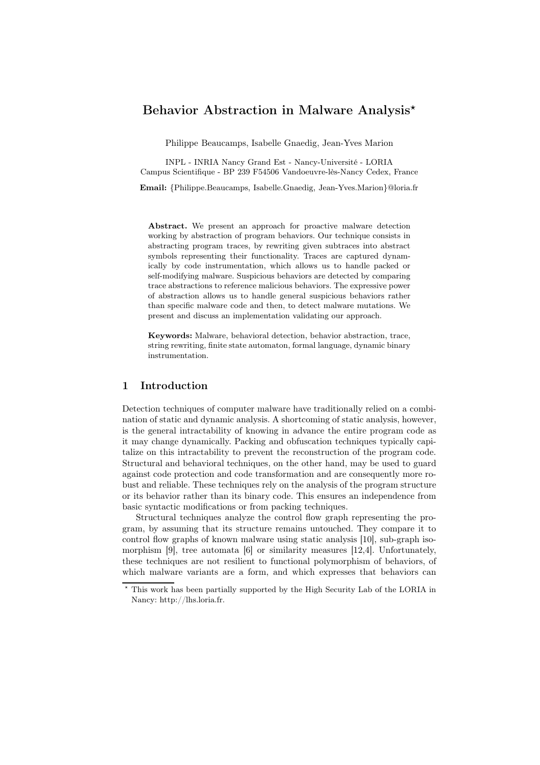# Behavior Abstraction in Malware Analysis<sup>\*</sup>

Philippe Beaucamps, Isabelle Gnaedig, Jean-Yves Marion

INPL - INRIA Nancy Grand Est - Nancy-Université - LORIA Campus Scientifique - BP 239 F54506 Vandoeuvre-lès-Nancy Cedex, France

Email: {Philippe.Beaucamps, Isabelle.Gnaedig, Jean-Yves.Marion}@loria.fr

Abstract. We present an approach for proactive malware detection working by abstraction of program behaviors. Our technique consists in abstracting program traces, by rewriting given subtraces into abstract symbols representing their functionality. Traces are captured dynamically by code instrumentation, which allows us to handle packed or self-modifying malware. Suspicious behaviors are detected by comparing trace abstractions to reference malicious behaviors. The expressive power of abstraction allows us to handle general suspicious behaviors rather than specific malware code and then, to detect malware mutations. We present and discuss an implementation validating our approach.

Keywords: Malware, behavioral detection, behavior abstraction, trace, string rewriting, finite state automaton, formal language, dynamic binary instrumentation.

# 1 Introduction

Detection techniques of computer malware have traditionally relied on a combination of static and dynamic analysis. A shortcoming of static analysis, however, is the general intractability of knowing in advance the entire program code as it may change dynamically. Packing and obfuscation techniques typically capitalize on this intractability to prevent the reconstruction of the program code. Structural and behavioral techniques, on the other hand, may be used to guard against code protection and code transformation and are consequently more robust and reliable. These techniques rely on the analysis of the program structure or its behavior rather than its binary code. This ensures an independence from basic syntactic modifications or from packing techniques.

Structural techniques analyze the control flow graph representing the program, by assuming that its structure remains untouched. They compare it to control flow graphs of known malware using static analysis [10], sub-graph isomorphism [9], tree automata [6] or similarity measures [12,4]. Unfortunately, these techniques are not resilient to functional polymorphism of behaviors, of which malware variants are a form, and which expresses that behaviors can

<sup>?</sup> This work has been partially supported by the High Security Lab of the LORIA in Nancy: http://lhs.loria.fr.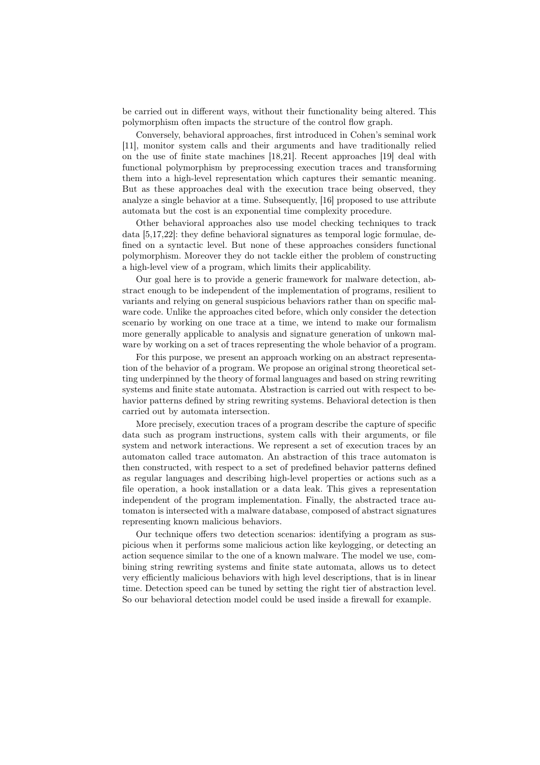be carried out in different ways, without their functionality being altered. This polymorphism often impacts the structure of the control flow graph.

Conversely, behavioral approaches, first introduced in Cohen's seminal work [11], monitor system calls and their arguments and have traditionally relied on the use of finite state machines [18,21]. Recent approaches [19] deal with functional polymorphism by preprocessing execution traces and transforming them into a high-level representation which captures their semantic meaning. But as these approaches deal with the execution trace being observed, they analyze a single behavior at a time. Subsequently, [16] proposed to use attribute automata but the cost is an exponential time complexity procedure.

Other behavioral approaches also use model checking techniques to track data [5,17,22]: they define behavioral signatures as temporal logic formulae, defined on a syntactic level. But none of these approaches considers functional polymorphism. Moreover they do not tackle either the problem of constructing a high-level view of a program, which limits their applicability.

Our goal here is to provide a generic framework for malware detection, abstract enough to be independent of the implementation of programs, resilient to variants and relying on general suspicious behaviors rather than on specific malware code. Unlike the approaches cited before, which only consider the detection scenario by working on one trace at a time, we intend to make our formalism more generally applicable to analysis and signature generation of unkown malware by working on a set of traces representing the whole behavior of a program.

For this purpose, we present an approach working on an abstract representation of the behavior of a program. We propose an original strong theoretical setting underpinned by the theory of formal languages and based on string rewriting systems and finite state automata. Abstraction is carried out with respect to behavior patterns defined by string rewriting systems. Behavioral detection is then carried out by automata intersection.

More precisely, execution traces of a program describe the capture of specific data such as program instructions, system calls with their arguments, or file system and network interactions. We represent a set of execution traces by an automaton called trace automaton. An abstraction of this trace automaton is then constructed, with respect to a set of predefined behavior patterns defined as regular languages and describing high-level properties or actions such as a file operation, a hook installation or a data leak. This gives a representation independent of the program implementation. Finally, the abstracted trace automaton is intersected with a malware database, composed of abstract signatures representing known malicious behaviors.

Our technique offers two detection scenarios: identifying a program as suspicious when it performs some malicious action like keylogging, or detecting an action sequence similar to the one of a known malware. The model we use, combining string rewriting systems and finite state automata, allows us to detect very efficiently malicious behaviors with high level descriptions, that is in linear time. Detection speed can be tuned by setting the right tier of abstraction level. So our behavioral detection model could be used inside a firewall for example.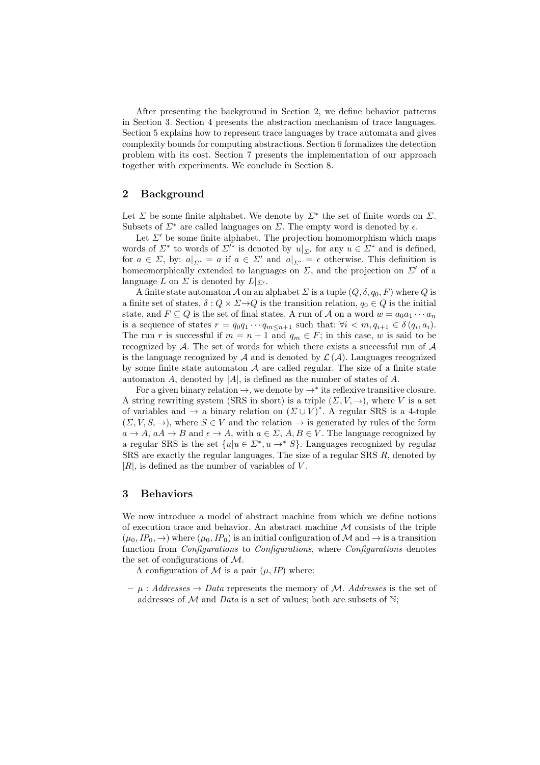After presenting the background in Section 2, we define behavior patterns in Section 3. Section 4 presents the abstraction mechanism of trace languages. Section 5 explains how to represent trace languages by trace automata and gives complexity bounds for computing abstractions. Section 6 formalizes the detection problem with its cost. Section 7 presents the implementation of our approach together with experiments. We conclude in Section 8.

## 2 Background

Let  $\Sigma$  be some finite alphabet. We denote by  $\Sigma^*$  the set of finite words on  $\Sigma$ . Subsets of  $\Sigma^*$  are called languages on  $\Sigma$ . The empty word is denoted by  $\epsilon$ .

Let  $\Sigma'$  be some finite alphabet. The projection homomorphism which maps words of  $\Sigma^*$  to words of  $\Sigma'^*$  is denoted by  $u|_{\Sigma'}$  for any  $u \in \Sigma^*$  and is defined, for  $a \in \Sigma$ , by:  $a|_{\Sigma'} = a$  if  $a \in \Sigma'$  and  $a|_{\Sigma'} = \epsilon$  otherwise. This definition is homeomorphically extended to languages on  $\Sigma$ , and the projection on  $\Sigma'$  of a language L on  $\Sigma$  is denoted by  $L|_{\Sigma'}$ .

A finite state automaton A on an alphabet  $\Sigma$  is a tuple  $(Q, \delta, q_0, F)$  where Q is a finite set of states,  $\delta: Q \times \Sigma \rightarrow Q$  is the transition relation,  $q_0 \in Q$  is the initial state, and  $F \subseteq Q$  is the set of final states. A run of A on a word  $w = a_0 a_1 \cdots a_n$ is a sequence of states  $r = q_0 q_1 \cdots q_{m \leq n+1}$  such that:  $\forall i < m, q_{i+1} \in \delta(q_i, a_i)$ . The run r is successful if  $m = n + 1$  and  $q_m \in F$ ; in this case, w is said to be recognized by  $A$ . The set of words for which there exists a successful run of  $A$ is the language recognized by  $A$  and is denoted by  $\mathcal{L}(\mathcal{A})$ . Languages recognized by some finite state automaton  $A$  are called regular. The size of a finite state automaton A, denoted by |A|, is defined as the number of states of A.

For a given binary relation  $\rightarrow$ , we denote by  $\rightarrow^*$  its reflexive transitive closure. A string rewriting system (SRS in short) is a triple  $(\Sigma, V, \rightarrow)$ , where V is a set of variables and  $\rightarrow$  a binary relation on  $(\Sigma \cup V)^*$ . A regular SRS is a 4-tuple  $(\Sigma, V, S, \rightarrow)$ , where  $S \in V$  and the relation  $\rightarrow$  is generated by rules of the form  $a \to A$ ,  $aA \to B$  and  $\epsilon \to A$ , with  $a \in \Sigma$ ,  $A, B \in V$ . The language recognized by a regular SRS is the set  $\{u | u \in \Sigma^*, u \to^* S\}$ . Languages recognized by regular SRS are exactly the regular languages. The size of a regular SRS  $R$ , denoted by  $|R|$ , is defined as the number of variables of V.

## 3 Behaviors

We now introduce a model of abstract machine from which we define notions of execution trace and behavior. An abstract machine  $M$  consists of the triple  $(\mu_0, IP_0, \rightarrow)$  where  $(\mu_0, IP_0)$  is an initial configuration of M and  $\rightarrow$  is a transition function from *Configurations* to *Configurations*, where *Configurations* denotes the set of configurations of  $M$ .

A configuration of  $\mathcal M$  is a pair  $(\mu, IP)$  where:

 $-\mu$ : Addresses  $\rightarrow$  Data represents the memory of M. Addresses is the set of addresses of  $\mathcal M$  and  $Data$  is a set of values; both are subsets of  $\mathbb N$ ;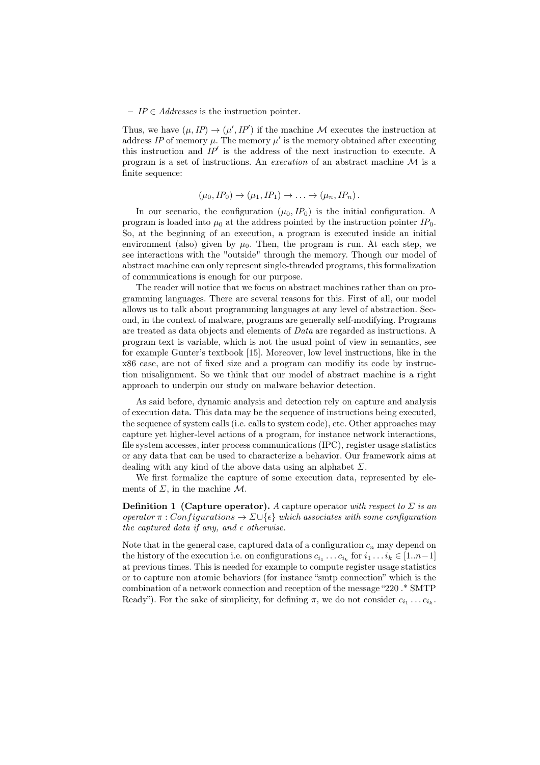–  $IP \in Addresses$  is the instruction pointer.

Thus, we have  $(\mu, IP) \to (\mu', IP')$  if the machine M executes the instruction at address IP of memory  $\mu$ . The memory  $\mu'$  is the memory obtained after executing this instruction and  $IP'$  is the address of the next instruction to execute. A program is a set of instructions. An *execution* of an abstract machine  $M$  is a finite sequence:

$$
(\mu_0, IP_0) \to (\mu_1, IP_1) \to \ldots \to (\mu_n, IP_n).
$$

In our scenario, the configuration  $(\mu_0, IP_0)$  is the initial configuration. A program is loaded into  $\mu_0$  at the address pointed by the instruction pointer  $IP_0$ . So, at the beginning of an execution, a program is executed inside an initial environment (also) given by  $\mu_0$ . Then, the program is run. At each step, we see interactions with the "outside" through the memory. Though our model of abstract machine can only represent single-threaded programs, this formalization of communications is enough for our purpose.

The reader will notice that we focus on abstract machines rather than on programming languages. There are several reasons for this. First of all, our model allows us to talk about programming languages at any level of abstraction. Second, in the context of malware, programs are generally self-modifying. Programs are treated as data objects and elements of Data are regarded as instructions. A program text is variable, which is not the usual point of view in semantics, see for example Gunter's textbook [15]. Moreover, low level instructions, like in the x86 case, are not of fixed size and a program can modifiy its code by instruction misalignment. So we think that our model of abstract machine is a right approach to underpin our study on malware behavior detection.

As said before, dynamic analysis and detection rely on capture and analysis of execution data. This data may be the sequence of instructions being executed, the sequence of system calls (i.e. calls to system code), etc. Other approaches may capture yet higher-level actions of a program, for instance network interactions, file system accesses, inter process communications (IPC), register usage statistics or any data that can be used to characterize a behavior. Our framework aims at dealing with any kind of the above data using an alphabet  $\Sigma$ .

We first formalize the capture of some execution data, represented by elements of  $\Sigma$ , in the machine  $\mathcal{M}$ .

**Definition 1 (Capture operator).** A capture operator with respect to  $\Sigma$  is an operator  $\pi$ : Configurations  $\rightarrow \Sigma \cup \{\epsilon\}$  which associates with some configuration the captured data if any, and  $\epsilon$  otherwise.

Note that in the general case, captured data of a configuration  $c_n$  may depend on the history of the execution i.e. on configurations  $c_{i_1} \ldots c_{i_k}$  for  $i_1 \ldots i_k \in [1..n-1]$ at previous times. This is needed for example to compute register usage statistics or to capture non atomic behaviors (for instance "smtp connection" which is the combination of a network connection and reception of the message "220 .\* SMTP Ready"). For the sake of simplicity, for defining  $\pi$ , we do not consider  $c_{i_1} \ldots c_{i_k}$ .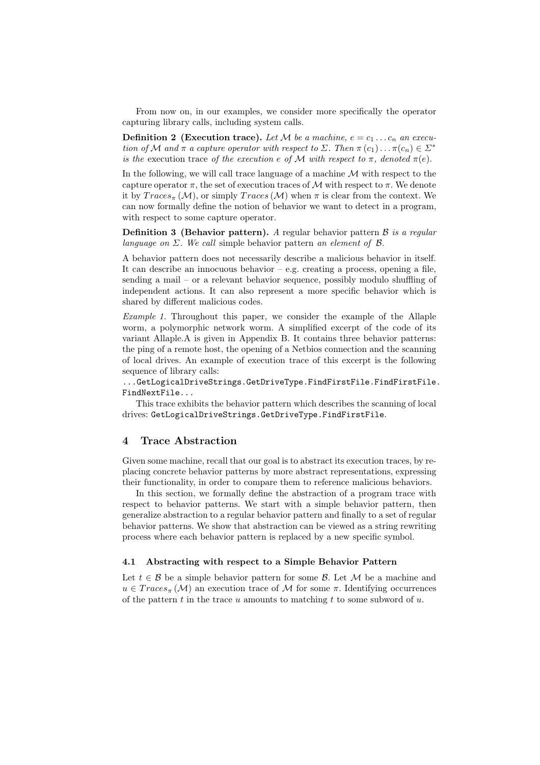From now on, in our examples, we consider more specifically the operator capturing library calls, including system calls.

**Definition 2** (Execution trace). Let M be a machine,  $e = c_1 \ldots c_n$  an execution of M and  $\pi$  a capture operator with respect to  $\Sigma$ . Then  $\pi(c_1) \dots \pi(c_n) \in \Sigma^*$ is the execution trace of the execution e of M with respect to  $\pi$ , denoted  $\pi(e)$ .

In the following, we will call trace language of a machine  $M$  with respect to the capture operator  $\pi$ , the set of execution traces of M with respect to  $\pi$ . We denote it by  $Trace_{\pi}(\mathcal{M})$ , or simply  $Trace_{\mathcal{M}}(\mathcal{M})$  when  $\pi$  is clear from the context. We can now formally define the notion of behavior we want to detect in a program, with respect to some capture operator.

**Definition 3 (Behavior pattern).** A regular behavior pattern  $\beta$  is a regular language on  $\Sigma$ . We call simple behavior pattern an element of  $\mathcal B$ .

A behavior pattern does not necessarily describe a malicious behavior in itself. It can describe an innocuous behavior  $-e.g.$  creating a process, opening a file, sending a mail – or a relevant behavior sequence, possibly modulo shuffling of independent actions. It can also represent a more specific behavior which is shared by different malicious codes.

Example 1. Throughout this paper, we consider the example of the Allaple worm, a polymorphic network worm. A simplified excerpt of the code of its variant Allaple.A is given in Appendix B. It contains three behavior patterns: the ping of a remote host, the opening of a Netbios connection and the scanning of local drives. An example of execution trace of this excerpt is the following sequence of library calls:

...GetLogicalDriveStrings.GetDriveType.FindFirstFile.FindFirstFile. FindNextFile...

This trace exhibits the behavior pattern which describes the scanning of local drives: GetLogicalDriveStrings.GetDriveType.FindFirstFile.

# 4 Trace Abstraction

Given some machine, recall that our goal is to abstract its execution traces, by replacing concrete behavior patterns by more abstract representations, expressing their functionality, in order to compare them to reference malicious behaviors.

In this section, we formally define the abstraction of a program trace with respect to behavior patterns. We start with a simple behavior pattern, then generalize abstraction to a regular behavior pattern and finally to a set of regular behavior patterns. We show that abstraction can be viewed as a string rewriting process where each behavior pattern is replaced by a new specific symbol.

#### 4.1 Abstracting with respect to a Simple Behavior Pattern

Let  $t \in \mathcal{B}$  be a simple behavior pattern for some  $\mathcal{B}$ . Let  $\mathcal{M}$  be a machine and  $u \in Trace_{\pi}(\mathcal{M})$  an execution trace of M for some  $\pi$ . Identifying occurrences of the pattern t in the trace u amounts to matching t to some subword of u.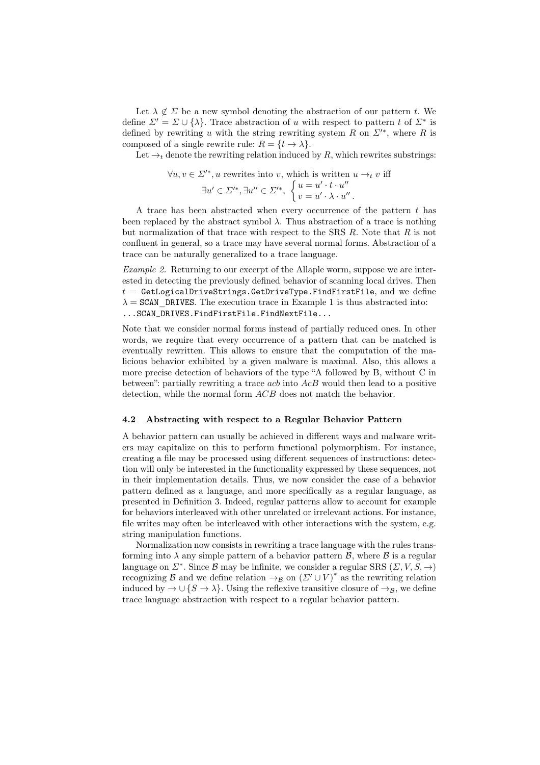Let  $\lambda \notin \Sigma$  be a new symbol denoting the abstraction of our pattern t. We define  $\Sigma' = \Sigma \cup \{\lambda\}$ . Trace abstraction of u with respect to pattern t of  $\Sigma^*$  is defined by rewriting u with the string rewriting system R on  $\Sigma^{\prime*}$ , where R is composed of a single rewrite rule:  $R = \{t \to \lambda\}.$ 

Let  $\rightarrow_t$  denote the rewriting relation induced by R, which rewrites substrings:

$$
\forall u, v \in \Sigma'^*, u \text{ rewrites into } v, \text{ which is written } u \to_t v \text{ iff}
$$

$$
\exists u' \in \Sigma'^*, \exists u'' \in \Sigma'^*, \begin{cases} u = u' \cdot t \cdot u'' \\ v = u' \cdot \lambda \cdot u''. \end{cases}
$$

A trace has been abstracted when every occurrence of the pattern  $t$  has been replaced by the abstract symbol  $\lambda$ . Thus abstraction of a trace is nothing but normalization of that trace with respect to the SRS  $R$ . Note that  $R$  is not confluent in general, so a trace may have several normal forms. Abstraction of a trace can be naturally generalized to a trace language.

Example 2. Returning to our excerpt of the Allaple worm, suppose we are interested in detecting the previously defined behavior of scanning local drives. Then  $t =$  GetLogicalDriveStrings.GetDriveType.FindFirstFile, and we define  $\lambda$  = SCAN DRIVES. The execution trace in Example 1 is thus abstracted into: ...SCAN\_DRIVES.FindFirstFile.FindNextFile...

Note that we consider normal forms instead of partially reduced ones. In other words, we require that every occurrence of a pattern that can be matched is eventually rewritten. This allows to ensure that the computation of the malicious behavior exhibited by a given malware is maximal. Also, this allows a more precise detection of behaviors of the type "A followed by B, without C in between": partially rewriting a trace *ach* into  $AcB$  would then lead to a positive detection, while the normal form  $ACB$  does not match the behavior.

#### 4.2 Abstracting with respect to a Regular Behavior Pattern

A behavior pattern can usually be achieved in different ways and malware writers may capitalize on this to perform functional polymorphism. For instance, creating a file may be processed using different sequences of instructions: detection will only be interested in the functionality expressed by these sequences, not in their implementation details. Thus, we now consider the case of a behavior pattern defined as a language, and more specifically as a regular language, as presented in Definition 3. Indeed, regular patterns allow to account for example for behaviors interleaved with other unrelated or irrelevant actions. For instance, file writes may often be interleaved with other interactions with the system, e.g. string manipulation functions.

Normalization now consists in rewriting a trace language with the rules transforming into  $\lambda$  any simple pattern of a behavior pattern  $\beta$ , where  $\beta$  is a regular language on  $\Sigma^*$ . Since  $\mathcal B$  may be infinite, we consider a regular SRS  $(\Sigma, V, S, \to)$ recognizing  $\mathcal B$  and we define relation  $\rightarrow_B$  on  $(\Sigma' \cup V)^*$  as the rewriting relation induced by  $\to \cup \{S \to \lambda\}$ . Using the reflexive transitive closure of  $\to_B$ , we define trace language abstraction with respect to a regular behavior pattern.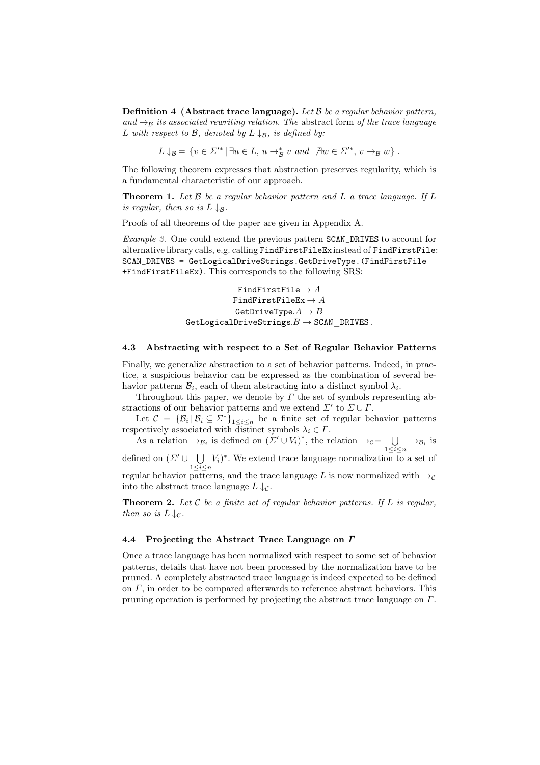**Definition 4** (Abstract trace language). Let B be a regular behavior pattern, and  $\rightarrow_B$  its associated rewriting relation. The abstract form of the trace language L with respect to B, denoted by  $L \downarrow_B$ , is defined by:

 $L \downarrow_{\mathcal{B}} = \{ v \in \Sigma'^* \mid \exists u \in L, u \to_{\mathcal{B}}^* v \text{ and } \exists w \in \Sigma'^*, v \to_{\mathcal{B}} w \}.$ 

The following theorem expresses that abstraction preserves regularity, which is a fundamental characteristic of our approach.

**Theorem 1.** Let  $\beta$  be a regular behavior pattern and L a trace language. If L is regular, then so is  $L \downarrow_B$ .

Proofs of all theorems of the paper are given in Appendix A.

Example 3. One could extend the previous pattern SCAN\_DRIVES to account for alternative library calls, e.g. calling FindFirstFileEx instead of FindFirstFile: SCAN\_DRIVES = GetLogicalDriveStrings.GetDriveType.(FindFirstFile +FindFirstFileEx). This corresponds to the following SRS:

> FindFirstFile  $\rightarrow$  A FindFirstFileEx  $\rightarrow$  A GetDriveType. $A \to B$  $GetLogicalDriveStrings.B \rightarrow SCAN$  DRIVES.

#### 4.3 Abstracting with respect to a Set of Regular Behavior Patterns

Finally, we generalize abstraction to a set of behavior patterns. Indeed, in practice, a suspicious behavior can be expressed as the combination of several behavior patterns  $\mathcal{B}_i$ , each of them abstracting into a distinct symbol  $\lambda_i$ .

Throughout this paper, we denote by  $\Gamma$  the set of symbols representing abstractions of our behavior patterns and we extend  $\Sigma'$  to  $\Sigma \cup \Gamma$ .

Let  $\mathcal{C} = {\mathcal{B}_i | \mathcal{B}_i \subseteq \Sigma^* }_{1 \leq i \leq n}$  be a finite set of regular behavior patterns respectively associated with distinct symbols  $\lambda_i \in \Gamma$ .

As a relation  $\rightarrow_{\mathcal{B}_i}$  is defined on  $(\Sigma' \cup V_i)^*$ , the relation  $\rightarrow_c = \bigcup$  $\bigcup_{1 \leq i \leq n} \rightarrow_{\mathcal{B}_i}$  is defined on  $(\Sigma' \cup \bigcup V_i)^*$ . We extend trace language normalization to a set of

 $1\leq i\leq n$ regular behavior patterns, and the trace language L is now normalized with  $\rightarrow_{\mathcal{C}}$ 

into the abstract trace language  $L \downarrow_{\mathcal{C}}$ . **Theorem 2.** Let  $C$  be a finite set of regular behavior patterns. If  $L$  is regular,

then so is  $L \downarrow_{\mathcal{C}}$ .

#### 4.4 Projecting the Abstract Trace Language on Γ

Once a trace language has been normalized with respect to some set of behavior patterns, details that have not been processed by the normalization have to be pruned. A completely abstracted trace language is indeed expected to be defined on Γ, in order to be compared afterwards to reference abstract behaviors. This pruning operation is performed by projecting the abstract trace language on Γ.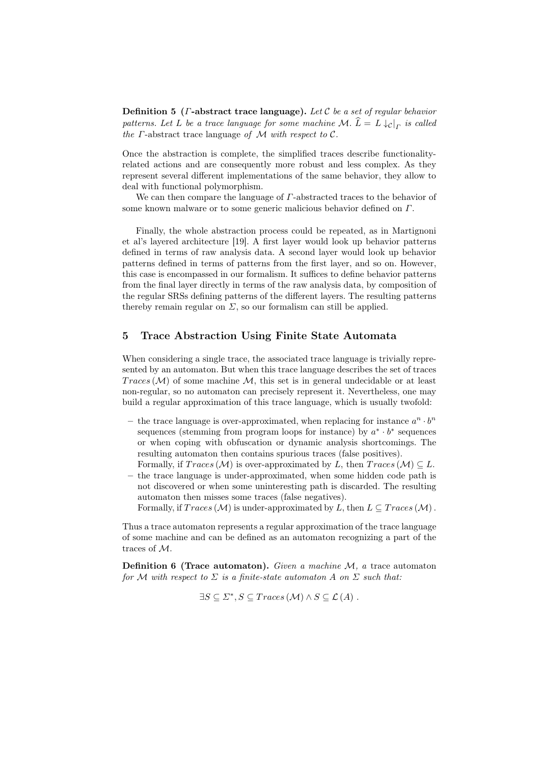**Definition 5** ( $\Gamma$ -abstract trace language). Let C be a set of regular behavior patterns. Let L be a trace language for some machine  ${\cal M}.$   $L = L \downarrow_c|_{\Gamma}$  is called the  $\Gamma$ -abstract trace language of  $\mathcal M$  with respect to  $\mathcal C$ .

Once the abstraction is complete, the simplified traces describe functionalityrelated actions and are consequently more robust and less complex. As they represent several different implementations of the same behavior, they allow to deal with functional polymorphism.

We can then compare the language of Γ-abstracted traces to the behavior of some known malware or to some generic malicious behavior defined on Γ.

Finally, the whole abstraction process could be repeated, as in Martignoni et al's layered architecture [19]. A first layer would look up behavior patterns defined in terms of raw analysis data. A second layer would look up behavior patterns defined in terms of patterns from the first layer, and so on. However, this case is encompassed in our formalism. It suffices to define behavior patterns from the final layer directly in terms of the raw analysis data, by composition of the regular SRSs defining patterns of the different layers. The resulting patterns thereby remain regular on  $\Sigma$ , so our formalism can still be applied.

# 5 Trace Abstraction Using Finite State Automata

When considering a single trace, the associated trace language is trivially represented by an automaton. But when this trace language describes the set of traces  $Trace(M)$  of some machine M, this set is in general undecidable or at least non-regular, so no automaton can precisely represent it. Nevertheless, one may build a regular approximation of this trace language, which is usually twofold:

- the trace language is over-approximated, when replacing for instance  $a^n \cdot b^n$ sequences (stemming from program loops for instance) by  $a^* \cdot b^*$  sequences or when coping with obfuscation or dynamic analysis shortcomings. The resulting automaton then contains spurious traces (false positives).
- Formally, if  $Traces(\mathcal{M})$  is over-approximated by L, then  $Traces(\mathcal{M}) \subseteq L$ . – the trace language is under-approximated, when some hidden code path is not discovered or when some uninteresting path is discarded. The resulting automaton then misses some traces (false negatives).
	- Formally, if  $Trace(S(M))$  is under-approximated by L, then  $L \subseteq Trace(S(M))$ .

Thus a trace automaton represents a regular approximation of the trace language of some machine and can be defined as an automaton recognizing a part of the traces of M.

**Definition 6 (Trace automaton).** Given a machine  $M$ , a trace automaton for M with respect to  $\Sigma$  is a finite-state automaton A on  $\Sigma$  such that:

 $\exists S \subseteq \Sigma^*, S \subseteq Traces(M) \wedge S \subseteq \mathcal{L}(A)$ .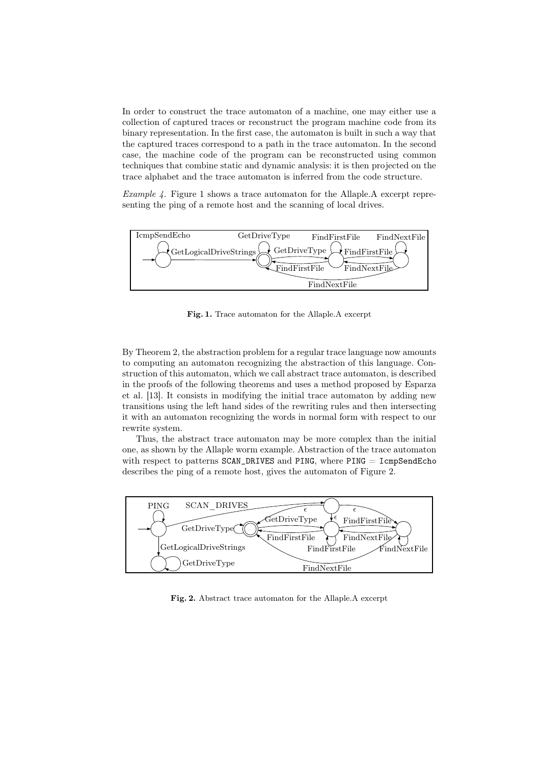In order to construct the trace automaton of a machine, one may either use a collection of captured traces or reconstruct the program machine code from its binary representation. In the first case, the automaton is built in such a way that the captured traces correspond to a path in the trace automaton. In the second case, the machine code of the program can be reconstructed using common techniques that combine static and dynamic analysis: it is then projected on the trace alphabet and the trace automaton is inferred from the code structure.

Example 4. Figure 1 shows a trace automaton for the Allaple.A excerpt representing the ping of a remote host and the scanning of local drives.



Fig. 1. Trace automaton for the Allaple.A excerpt

By Theorem 2, the abstraction problem for a regular trace language now amounts to computing an automaton recognizing the abstraction of this language. Construction of this automaton, which we call abstract trace automaton, is described in the proofs of the following theorems and uses a method proposed by Esparza et al. [13]. It consists in modifying the initial trace automaton by adding new transitions using the left hand sides of the rewriting rules and then intersecting it with an automaton recognizing the words in normal form with respect to our rewrite system.

Thus, the abstract trace automaton may be more complex than the initial one, as shown by the Allaple worm example. Abstraction of the trace automaton with respect to patterns  $SCAN_DRIVES$  and PING, where  $PING = IcmpSendEcho$ describes the ping of a remote host, gives the automaton of Figure 2.



Fig. 2. Abstract trace automaton for the Allaple.A excerpt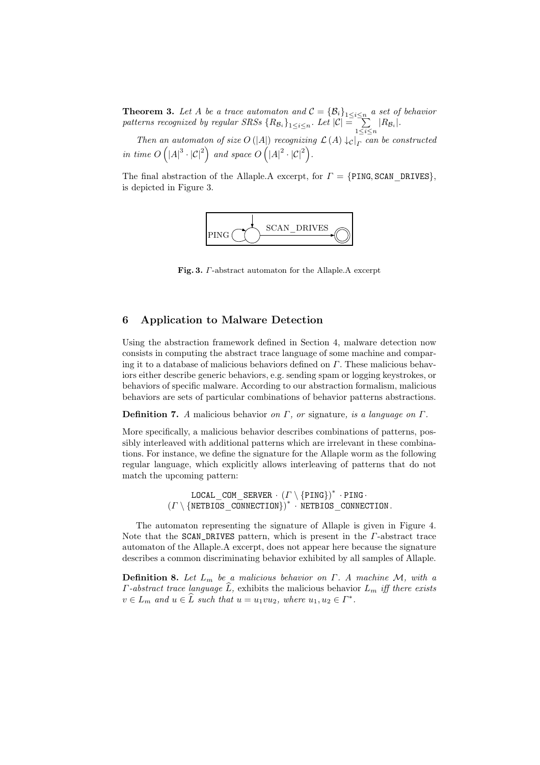**Theorem 3.** Let A be a trace automaton and  $\mathcal{C} = {\mathcal{B}_i}_{1 \leq i \leq n}$  a set of behavior patterns recognized by regular SRSs  ${R_{\mathcal{B}_i}}_{1 \leq i \leq n}$ . Let  $|C| = \sum_{i=1}^{n}$  $\sum_{1\leq i\leq n}|R_{\mathcal{B}_i}|.$ 

Then an automaton of size  $O(|A|)$  recognizing  $\mathcal{L}(A) \downarrow c|_F$  can be constructed in time  $O\left(|A|^3\cdot |\mathcal{C}|^2\right)$  and space  $O\left(|A|^2\cdot |\mathcal{C}|^2\right)$ .

The final abstraction of the Allaple.A excerpt, for  $\Gamma = \{PING, SCAN\_DRIVES\}$ , is depicted in Figure 3.



Fig. 3. Γ-abstract automaton for the Allaple.A excerpt

# 6 Application to Malware Detection

Using the abstraction framework defined in Section 4, malware detection now consists in computing the abstract trace language of some machine and comparing it to a database of malicious behaviors defined on  $\Gamma$ . These malicious behaviors either describe generic behaviors, e.g. sending spam or logging keystrokes, or behaviors of specific malware. According to our abstraction formalism, malicious behaviors are sets of particular combinations of behavior patterns abstractions.

**Definition 7.** A malicious behavior on  $\Gamma$ , or signature, is a language on  $\Gamma$ .

More specifically, a malicious behavior describes combinations of patterns, possibly interleaved with additional patterns which are irrelevant in these combinations. For instance, we define the signature for the Allaple worm as the following regular language, which explicitly allows interleaving of patterns that do not match the upcoming pattern:

> $\texttt{LOCAL\_COM\_SERVER} \cdot ( \varGamma \setminus \{\texttt{PING}\})^* \cdot \texttt{PING} \cdot$  $(T \setminus {\{\texttt{NETBIOS}\_\texttt{COMNETION}\}})^*$  · NETBIOS CONNECTION.

The automaton representing the signature of Allaple is given in Figure 4. Note that the SCAN\_DRIVES pattern, which is present in the  $\Gamma$ -abstract trace automaton of the Allaple.A excerpt, does not appear here because the signature describes a common discriminating behavior exhibited by all samples of Allaple.

**Definition 8.** Let  $L_m$  be a malicious behavior on  $\Gamma$ . A machine M, with a *Γ*-abstract trace language  $\tilde{L}$ , exhibits the malicious behavior  $L_m$  iff there exists  $v \in L_m$  and  $u \in \hat{L}$  such that  $u = u_1vu_2$ , where  $u_1, u_2 \in \Gamma^*$ .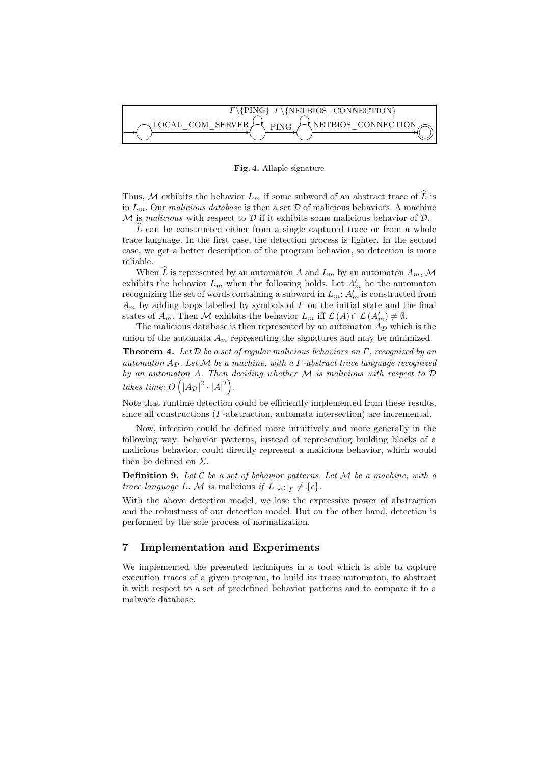

Fig. 4. Allaple signature

Thus, M exhibits the behavior  $L_m$  if some subword of an abstract trace of  $\widehat{L}$  is in  $L_m$ . Our *malicious database* is then a set  $D$  of malicious behaviors. A machine M is malicious with respect to D if it exhibits some malicious behavior of D.

 $\overline{L}$  can be constructed either from a single captured trace or from a whole trace language. In the first case, the detection process is lighter. In the second case, we get a better description of the program behavior, so detection is more reliable.

When  $\widehat{L}$  is represented by an automaton A and  $L_m$  by an automaton  $A_m$ , M exhibits the behavior  $L_m$  when the following holds. Let  $A'_m$  be the automaton recognizing the set of words containing a subword in  $L_m: A'_m$  is constructed from  $A_m$  by adding loops labelled by symbols of  $\Gamma$  on the initial state and the final states of  $A_m$ . Then M exhibits the behavior  $L_m$  iff  $\mathcal{L}(A) \cap \mathcal{L}(A'_m) \neq \emptyset$ .

The malicious database is then represented by an automaton  $A_{\mathcal{D}}$  which is the union of the automata  $A_m$  representing the signatures and may be minimized.

**Theorem 4.** Let  $D$  be a set of regular malicious behaviors on  $\Gamma$ , recognized by an automaton  $A_{\mathcal{D}}$ . Let M be a machine, with a  $\Gamma$ -abstract trace language recognized by an automaton A. Then deciding whether  $M$  is malicious with respect to  $D$ takes time:  $O(|A_{\mathcal{D}}|^2 \cdot |A|^2)$ .

Note that runtime detection could be efficiently implemented from these results, since all constructions (Γ-abstraction, automata intersection) are incremental.

Now, infection could be defined more intuitively and more generally in the following way: behavior patterns, instead of representing building blocks of a malicious behavior, could directly represent a malicious behavior, which would then be defined on  $\Sigma$ .

**Definition 9.** Let  $C$  be a set of behavior patterns. Let  $M$  be a machine, with a *trace language L.* M is malicious if  $L \downarrow c|_{\Gamma} \neq \{\epsilon\}.$ 

With the above detection model, we lose the expressive power of abstraction and the robustness of our detection model. But on the other hand, detection is performed by the sole process of normalization.

## 7 Implementation and Experiments

We implemented the presented techniques in a tool which is able to capture execution traces of a given program, to build its trace automaton, to abstract it with respect to a set of predefined behavior patterns and to compare it to a malware database.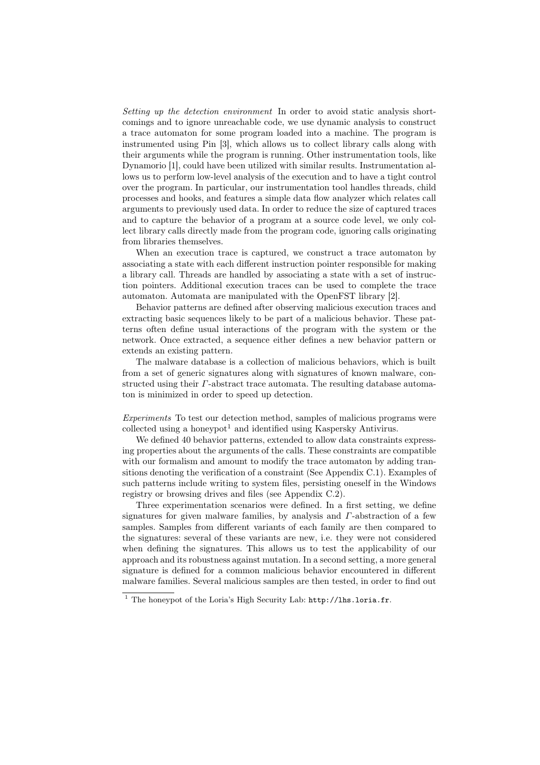Setting up the detection environment In order to avoid static analysis shortcomings and to ignore unreachable code, we use dynamic analysis to construct a trace automaton for some program loaded into a machine. The program is instrumented using Pin [3], which allows us to collect library calls along with their arguments while the program is running. Other instrumentation tools, like Dynamorio [1], could have been utilized with similar results. Instrumentation allows us to perform low-level analysis of the execution and to have a tight control over the program. In particular, our instrumentation tool handles threads, child processes and hooks, and features a simple data flow analyzer which relates call arguments to previously used data. In order to reduce the size of captured traces and to capture the behavior of a program at a source code level, we only collect library calls directly made from the program code, ignoring calls originating from libraries themselves.

When an execution trace is captured, we construct a trace automaton by associating a state with each different instruction pointer responsible for making a library call. Threads are handled by associating a state with a set of instruction pointers. Additional execution traces can be used to complete the trace automaton. Automata are manipulated with the OpenFST library [2].

Behavior patterns are defined after observing malicious execution traces and extracting basic sequences likely to be part of a malicious behavior. These patterns often define usual interactions of the program with the system or the network. Once extracted, a sequence either defines a new behavior pattern or extends an existing pattern.

The malware database is a collection of malicious behaviors, which is built from a set of generic signatures along with signatures of known malware, constructed using their Γ-abstract trace automata. The resulting database automaton is minimized in order to speed up detection.

Experiments To test our detection method, samples of malicious programs were collected using a honeypot<sup>1</sup> and identified using Kaspersky Antivirus.

We defined 40 behavior patterns, extended to allow data constraints expressing properties about the arguments of the calls. These constraints are compatible with our formalism and amount to modify the trace automaton by adding transitions denoting the verification of a constraint (See Appendix C.1). Examples of such patterns include writing to system files, persisting oneself in the Windows registry or browsing drives and files (see Appendix C.2).

Three experimentation scenarios were defined. In a first setting, we define signatures for given malware families, by analysis and  $\Gamma$ -abstraction of a few samples. Samples from different variants of each family are then compared to the signatures: several of these variants are new, i.e. they were not considered when defining the signatures. This allows us to test the applicability of our approach and its robustness against mutation. In a second setting, a more general signature is defined for a common malicious behavior encountered in different malware families. Several malicious samples are then tested, in order to find out

<sup>&</sup>lt;sup>1</sup> The honeypot of the Loria's High Security Lab:  $http://lhs.loria.fr.$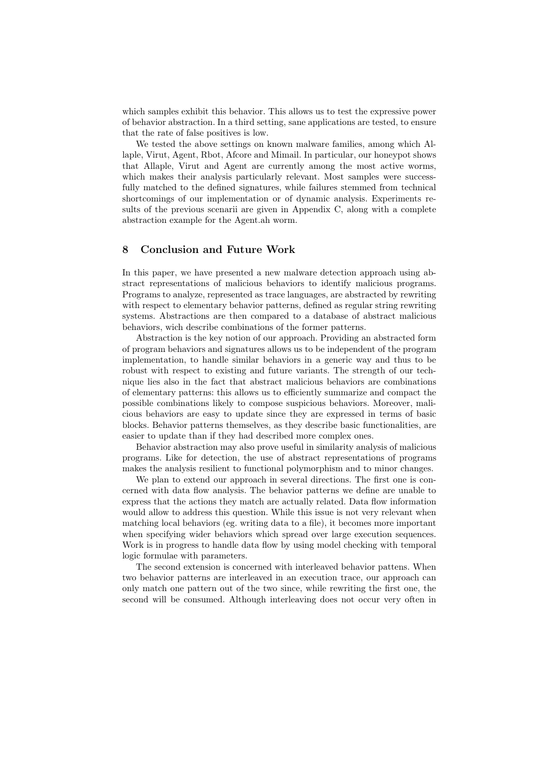which samples exhibit this behavior. This allows us to test the expressive power of behavior abstraction. In a third setting, sane applications are tested, to ensure that the rate of false positives is low.

We tested the above settings on known malware families, among which Allaple, Virut, Agent, Rbot, Afcore and Mimail. In particular, our honeypot shows that Allaple, Virut and Agent are currently among the most active worms, which makes their analysis particularly relevant. Most samples were successfully matched to the defined signatures, while failures stemmed from technical shortcomings of our implementation or of dynamic analysis. Experiments results of the previous scenarii are given in Appendix C, along with a complete abstraction example for the Agent.ah worm.

### 8 Conclusion and Future Work

In this paper, we have presented a new malware detection approach using abstract representations of malicious behaviors to identify malicious programs. Programs to analyze, represented as trace languages, are abstracted by rewriting with respect to elementary behavior patterns, defined as regular string rewriting systems. Abstractions are then compared to a database of abstract malicious behaviors, wich describe combinations of the former patterns.

Abstraction is the key notion of our approach. Providing an abstracted form of program behaviors and signatures allows us to be independent of the program implementation, to handle similar behaviors in a generic way and thus to be robust with respect to existing and future variants. The strength of our technique lies also in the fact that abstract malicious behaviors are combinations of elementary patterns: this allows us to efficiently summarize and compact the possible combinations likely to compose suspicious behaviors. Moreover, malicious behaviors are easy to update since they are expressed in terms of basic blocks. Behavior patterns themselves, as they describe basic functionalities, are easier to update than if they had described more complex ones.

Behavior abstraction may also prove useful in similarity analysis of malicious programs. Like for detection, the use of abstract representations of programs makes the analysis resilient to functional polymorphism and to minor changes.

We plan to extend our approach in several directions. The first one is concerned with data flow analysis. The behavior patterns we define are unable to express that the actions they match are actually related. Data flow information would allow to address this question. While this issue is not very relevant when matching local behaviors (eg. writing data to a file), it becomes more important when specifying wider behaviors which spread over large execution sequences. Work is in progress to handle data flow by using model checking with temporal logic formulae with parameters.

The second extension is concerned with interleaved behavior pattens. When two behavior patterns are interleaved in an execution trace, our approach can only match one pattern out of the two since, while rewriting the first one, the second will be consumed. Although interleaving does not occur very often in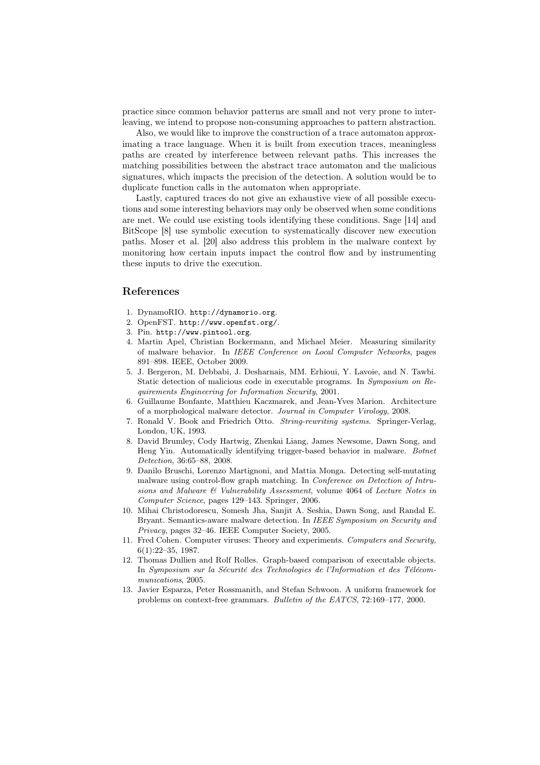practice since common behavior patterns are small and not very prone to interleaving, we intend to propose non-consuming approaches to pattern abstraction.

Also, we would like to improve the construction of a trace automaton approximating a trace language. When it is built from execution traces, meaningless paths are created by interference between relevant paths. This increases the matching possibilities between the abstract trace automaton and the malicious signatures, which impacts the precision of the detection. A solution would be to duplicate function calls in the automaton when appropriate.

Lastly, captured traces do not give an exhaustive view of all possible executions and some interesting behaviors may only be observed when some conditions are met. We could use existing tools identifying these conditions. Sage [14] and BitScope [8] use symbolic execution to systematically discover new execution paths. Moser et al. [20] also address this problem in the malware context by monitoring how certain inputs impact the control flow and by instrumenting these inputs to drive the execution.

#### References

- 1. DynamoRIO. http://dynamorio.org.
- 2. OpenFST. http://www.openfst.org/.
- 3. Pin. http://www.pintool.org.
- 4. Martin Apel, Christian Bockermann, and Michael Meier. Measuring similarity of malware behavior. In IEEE Conference on Local Computer Networks, pages 891–898. IEEE, October 2009.
- 5. J. Bergeron, M. Debbabi, J. Desharnais, MM. Erhioui, Y. Lavoie, and N. Tawbi. Static detection of malicious code in executable programs. In Symposium on Requirements Engineering for Information Security, 2001.
- 6. Guillaume Bonfante, Matthieu Kaczmarek, and Jean-Yves Marion. Architecture of a morphological malware detector. Journal in Computer Virology, 2008.
- 7. Ronald V. Book and Friedrich Otto. String-rewriting systems. Springer-Verlag, London, UK, 1993.
- 8. David Brumley, Cody Hartwig, Zhenkai Liang, James Newsome, Dawn Song, and Heng Yin. Automatically identifying trigger-based behavior in malware. Botnet Detection, 36:65–88, 2008.
- 9. Danilo Bruschi, Lorenzo Martignoni, and Mattia Monga. Detecting self-mutating malware using control-flow graph matching. In Conference on Detection of Intrusions and Malware & Vulnerability Assessment, volume 4064 of Lecture Notes in Computer Science, pages 129–143. Springer, 2006.
- 10. Mihai Christodorescu, Somesh Jha, Sanjit A. Seshia, Dawn Song, and Randal E. Bryant. Semantics-aware malware detection. In IEEE Symposium on Security and Privacy, pages 32–46. IEEE Computer Society, 2005.
- 11. Fred Cohen. Computer viruses: Theory and experiments. Computers and Security, 6(1):22–35, 1987.
- 12. Thomas Dullien and Rolf Rolles. Graph-based comparison of executable objects. In Symposium sur la Sécurité des Technologies de l'Information et des Télécommunications, 2005.
- 13. Javier Esparza, Peter Rossmanith, and Stefan Schwoon. A uniform framework for problems on context-free grammars. Bulletin of the EATCS, 72:169–177, 2000.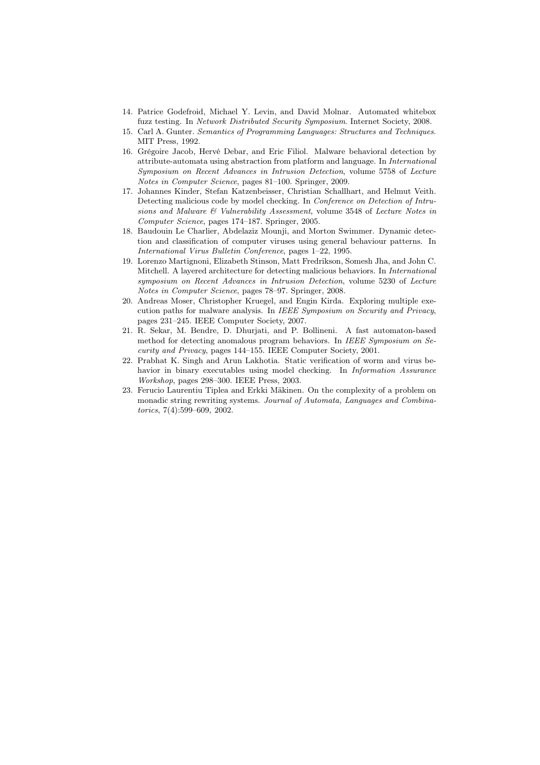- 14. Patrice Godefroid, Michael Y. Levin, and David Molnar. Automated whitebox fuzz testing. In Network Distributed Security Symposium. Internet Society, 2008.
- 15. Carl A. Gunter. Semantics of Programming Languages: Structures and Techniques. MIT Press, 1992.
- 16. Grégoire Jacob, Hervé Debar, and Eric Filiol. Malware behavioral detection by attribute-automata using abstraction from platform and language. In International Symposium on Recent Advances in Intrusion Detection, volume 5758 of Lecture Notes in Computer Science, pages 81–100. Springer, 2009.
- 17. Johannes Kinder, Stefan Katzenbeisser, Christian Schallhart, and Helmut Veith. Detecting malicious code by model checking. In Conference on Detection of Intrusions and Malware & Vulnerability Assessment, volume 3548 of Lecture Notes in Computer Science, pages 174–187. Springer, 2005.
- 18. Baudouin Le Charlier, Abdelaziz Mounji, and Morton Swimmer. Dynamic detection and classification of computer viruses using general behaviour patterns. In International Virus Bulletin Conference, pages 1–22, 1995.
- 19. Lorenzo Martignoni, Elizabeth Stinson, Matt Fredrikson, Somesh Jha, and John C. Mitchell. A layered architecture for detecting malicious behaviors. In International symposium on Recent Advances in Intrusion Detection, volume 5230 of Lecture Notes in Computer Science, pages 78–97. Springer, 2008.
- 20. Andreas Moser, Christopher Kruegel, and Engin Kirda. Exploring multiple execution paths for malware analysis. In IEEE Symposium on Security and Privacy, pages 231–245. IEEE Computer Society, 2007.
- 21. R. Sekar, M. Bendre, D. Dhurjati, and P. Bollineni. A fast automaton-based method for detecting anomalous program behaviors. In IEEE Symposium on Security and Privacy, pages 144–155. IEEE Computer Society, 2001.
- 22. Prabhat K. Singh and Arun Lakhotia. Static verification of worm and virus behavior in binary executables using model checking. In Information Assurance Workshop, pages 298–300. IEEE Press, 2003.
- 23. Ferucio Laurentiu Tiplea and Erkki Mäkinen. On the complexity of a problem on monadic string rewriting systems. Journal of Automata, Languages and Combinatorics, 7(4):599–609, 2002.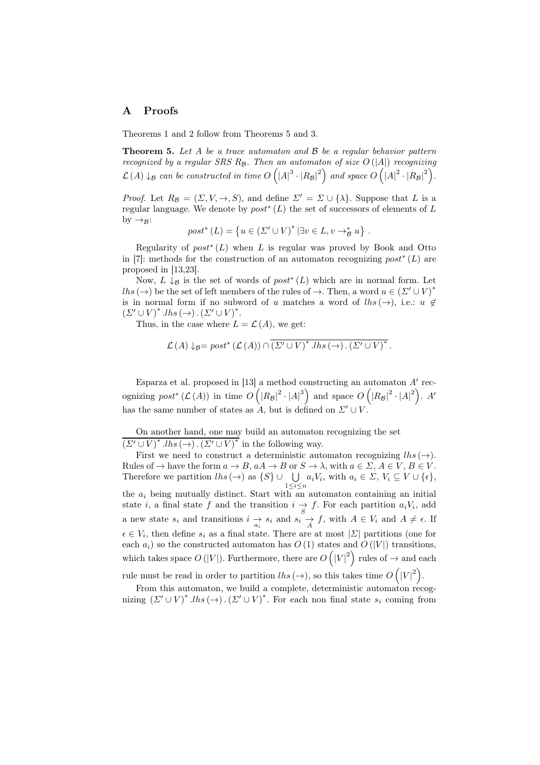## A Proofs

Theorems 1 and 2 follow from Theorems 5 and 3.

**Theorem 5.** Let A be a trace automaton and  $\beta$  be a regular behavior pattern recognized by a regular SRS R<sub>B</sub>. Then an automaton of size  $O(|A|)$  recognizing  $\mathcal{L}(A) \downarrow_{\mathcal{B}}$  can be constructed in time  $O\left(|A|^3 \cdot |R_{\mathcal{B}}|^2\right)$  and space  $O\left(|A|^2 \cdot |R_{\mathcal{B}}|^2\right)$ .

*Proof.* Let  $R_B = (\Sigma, V, \rightarrow, S)$ , and define  $\Sigma' = \Sigma \cup {\lambda}$ . Suppose that L is a regular language. We denote by  $post^*(L)$  the set of successors of elements of L by  $\rightarrow_B$ :

$$
post^*(L) = \{ u \in (\Sigma' \cup V)^* | \exists v \in L, v \to_B^* u \}.
$$

Regularity of  $post*(L)$  when L is regular was proved by Book and Otto in [7]: methods for the construction of an automaton recognizing  $post^*(L)$  are proposed in [13,23].

Now,  $L \downarrow_B$  is the set of words of  $post^*(L)$  which are in normal form. Let  $\mathit{llhs}(\rightarrow)$  be the set of left members of the rules of  $\rightarrow$ . Then, a word  $u \in (\Sigma' \cup V)^*$ is in normal form if no subword of u matches a word of  $\text{ }u\text{ s} \rightarrow$ , i.e.:  $u \notin$  $(\Sigma' \cup V)^*$  .lhs  $(\rightarrow)$  .  $(\Sigma' \cup V)^*$ .

Thus, in the case where  $L = \mathcal{L}(A)$ , we get:

$$
\mathcal{L}(A) \downarrow_{\mathcal{B}} = post^* (\mathcal{L}(A)) \cap (\overline{\Sigma' \cup V})^* \cdot lhs (\rightarrow) .(\overline{\Sigma' \cup V})^*.
$$

Esparza et al. proposed in  $[13]$  a method constructing an automaton  $A'$  recognizing  $post^* (\mathcal{L}(A))$  in time  $O(|R_B|^2 \cdot |A|^3)$  and space  $O(|R_B|^2 \cdot |A|^2)$ . A has the same number of states as A, but is defined on  $\Sigma' \cup V$ .

On another hand, one may build an automaton recognizing the set  $(\Sigma' \cup V)^*$  *lhs*  $(\rightarrow)$ .  $(\Sigma' \cup V)^*$  in the following way.

First we need to construct a deterministic automaton recognizing  $\text{ln}s \rightarrow$ . Rules of  $\rightarrow$  have the form  $a \rightarrow B$ ,  $aA \rightarrow B$  or  $S \rightarrow \lambda$ , with  $a \in \Sigma$ ,  $A \in V$ ,  $B \in V$ . Therefore we partition  $\text{ln }s(\rightarrow)$  as  $\{S\} \cup \bigcup a_iV_i$ , with  $a_i \in \Sigma$ ,  $V_i \subseteq V \cup \{\epsilon\}$ ,  $1\leq i\leq n$ the  $a_i$  being mutually distinct. Start with an automaton containing an initial state *i*, a final state f and the transition  $i \rightarrow s$  f. For each partition  $a_i V_i$ , add a new state  $s_i$  and transitions  $i \to s_i$  and  $s_i \to f$ , with  $A \in V_i$  and  $A \neq \epsilon$ . If  $\epsilon \in V_i$ , then define  $s_i$  as a final state. There are at most  $|\Sigma|$  partitions (one for each  $a_i$ ) so the constructed automaton has  $O(1)$  states and  $O(|V|)$  transitions, which takes space  $O(|V|)$ . Furthermore, there are  $O(|V|^2)$  rules of  $\rightarrow$  and each

rule must be read in order to partition  $\ln s(\rightarrow)$ , so this takes time  $O(|V|^2)$ .

From this automaton, we build a complete, deterministic automaton recognizing  $(\Sigma' \cup V)^*$ .lhs  $(\rightarrow)$ .  $(\Sigma' \cup V)^*$ . For each non final state  $s_i$  coming from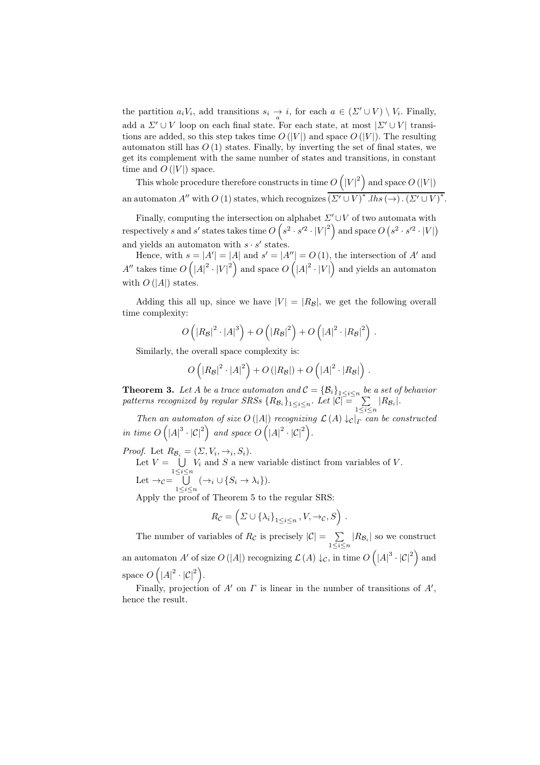the partition  $a_iV_i$ , add transitions  $s_i \to i$ , for each  $a \in (\Sigma' \cup V) \setminus V_i$ . Finally, add a  $\Sigma' \cup V$  loop on each final state. For each state, at most  $|\Sigma' \cup V|$  transitions are added, so this step takes time  $O(|V|)$  and space  $O(|V|)$ . The resulting automaton still has  $O(1)$  states. Finally, by inverting the set of final states, we get its complement with the same number of states and transitions, in constant time and  $O(|V|)$  space.

This whole procedure therefore constructs in time  $O(|V|^2)$  and space  $O(|V|)$ an automaton  $A''$  with  $O(1)$  states, which recognizes  $\overline{(Z' \cup V)}^*$ .  $\overline{lhs(\rightarrow)}$ .  $(\overline{Z' \cup V})^*$ .

Finally, computing the intersection on alphabet  $\Sigma' \cup V$  of two automata with respectively s and s' states takes time  $O(s^2 \cdot s'^2 \cdot |V|^2)$  and space  $O(s^2 \cdot s'^2 \cdot |V|)$ and yields an automaton with  $s \cdot s'$  states.

Hence, with  $s = |A'| = |A|$  and  $s' = |A''| = O(1)$ , the intersection of A' and  $A''$  takes time  $O(|A|^2 \cdot |V|^2)$  and space  $O(|A|^2 \cdot |V|)$  and yields an automaton with  $O(|A|)$  states.

Adding this all up, since we have  $|V| = |R_{\mathcal{B}}|$ , we get the following overall time complexity:

$$
O\left(|R_{\mathcal{B}}|^2 \cdot |A|^3\right) + O\left(|R_{\mathcal{B}}|^2\right) + O\left(|A|^2 \cdot |R_{\mathcal{B}}|^2\right).
$$

Similarly, the overall space complexity is:

$$
O\left(\left|R_{\mathcal{B}}\right|^2 \cdot \left|A\right|^2\right) + O\left(\left|R_{\mathcal{B}}\right|\right) + O\left(\left|A\right|^2 \cdot \left|R_{\mathcal{B}}\right|\right).
$$

**Theorem 3.** Let A be a trace automaton and  $\mathcal{C} = {\{\mathcal{B}_i\}}_{1 \leq i \leq n}$  be a set of behavior patterns recognized by regular SRSs  ${R_{\mathcal{B}_i}}_{1 \leq i \leq n}$ . Let  $|\mathcal{C}| = \sum_{i=1}^{n}$ .  $\sum_{1\leq i\leq n}|R_{\mathcal{B}_i}|.$ 

Then an automaton of size  $O(|A|)$  recognizing  $\mathcal{L}(A) \downarrow c|_{\Gamma}$  can be constructed in time  $O\left(|A|^3\cdot |\mathcal{C}|^2\right)$  and space  $O\left(|A|^2\cdot |\mathcal{C}|^2\right)$ .

*Proof.* Let  $R_{\mathcal{B}_i} = (\Sigma, V_i, \rightarrow_i, S_i)$ .

Let  $V = \bigcup$  $\bigcup_{1 \leq i \leq n} V_i$  and S a new variable distinct from variables of V. Let  $\rightarrow_c =$   $\bar{\cup}$  $\bigcup_{1 \leq i \leq n} (\rightarrow_i \cup \{S_i \rightarrow \lambda_i\}).$ 

Apply the proof of Theorem 5 to the regular SRS:

$$
R_{\mathcal{C}} = \left( \Sigma \cup \{ \lambda_i \}_{1 \leq i \leq n}, V, \to_{\mathcal{C}}, S \right).
$$

The number of variables of  $R_{\mathcal{C}}$  is precisely  $|\mathcal{C}| = \sum$  $\sum_{1 \leq i \leq n} |R_{\mathcal{B}_i}|$  so we construct an automaton A' of size  $O(|A|)$  recognizing  $\mathcal{L}(A) \downarrow_c$ , in time  $O(|A|^3 \cdot |\mathcal{C}|^2)$  and space  $O(|A|^2 \cdot |\mathcal{C}|^2)$ .

Finally, projection of  $A'$  on  $\Gamma$  is linear in the number of transitions of  $A'$ , hence the result.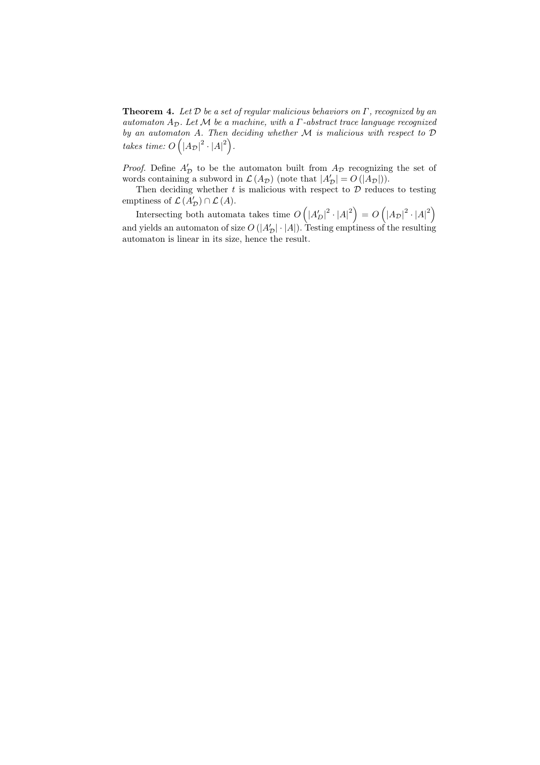**Theorem 4.** Let  $\mathcal{D}$  be a set of regular malicious behaviors on  $\Gamma$ , recognized by an automaton  $A_{\mathcal{D}}$ . Let M be a machine, with a  $\Gamma$ -abstract trace language recognized by an automaton A. Then deciding whether M is malicious with respect to D takes time:  $O(|A_{\mathcal{D}}|^2 \cdot |A|^2)$ .

*Proof.* Define  $A'_{\mathcal{D}}$  to be the automaton built from  $A_{\mathcal{D}}$  recognizing the set of words containing a subword in  $\mathcal{L}(A_{\mathcal{D}})$  (note that  $|A'_{\mathcal{D}}| = O(|A_{\mathcal{D}}|)$ ).

Then deciding whether  $t$  is malicious with respect to  $D$  reduces to testing emptiness of  $\mathcal{L}(A'_{\mathcal{D}}) \cap \mathcal{L}(A)$ .

Intersecting both automata takes time  $O(|A'_{D}|^2 \cdot |A|^2) = O(|A_{D}|^2 \cdot |A|^2)$ and yields an automaton of size  $O(|A'_\mathcal{D}| \cdot |A|)$ . Testing emptiness of the resulting automaton is linear in its size, hence the result.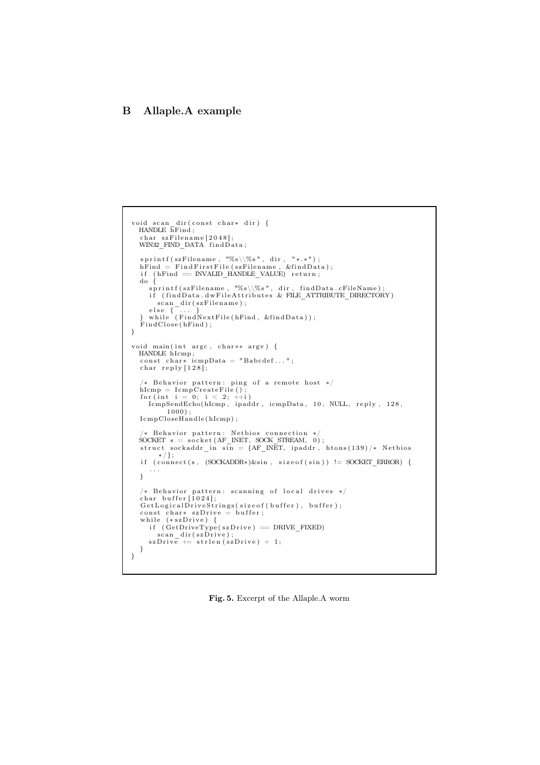# B Allaple.A example

```
void scan_dir(const char∗ dir) {<br>HANDLE hFind;
   char<sup>sz Filename</sup> [2048];
   WIN32_FIND_DATA \left\{ \text{indData} \right\}\texttt{sprintf(szFilename}\;,\; \texttt{Ws}\backslash\!\backslash\!\% \texttt{s''}\,,\; \texttt{dir}\;,\; \texttt{***\!} \;),hFind = FindFirstFile(szFilename, &findData);<br>if (hFind == INVALID_HANDLE_VALUE) return;
   do {
       sprintf(szFilename, "%s\\%s", dir, findData.cFileName);<br>if (findData.dwFileAttributes & FILE_ATTRIBUTE_DIRECTORY)
          \bar{\text{scan}} = dir (\text{szFilename});
       else { ... }
    } while (FindNextFile(hFind, &findData));
   \mathrm{Find} \, \mathrm{Close} \, \mathrm{(hFind)};
}
void main ( int argc, char ** argv ) {
   HANDLE hIcmp;<br>const char∗ icmpData = "Babcdef...";<br>char reply[128];
    /* Behavior pattern: ping of a remote host */
    \text{hTemp} = \text{ImpCreateFile}()~; \ \text{for}~(\text{int}~\text{i} = 0;~\text{i} < 2;~\text{++i})\text{ImpSendEcho(hImp,ipaddr, impData, 10, NULL, reply, 128,}1000 :
   IcmpCloseHandle(hIcmp);
    /* Behavior pattern: Netbios connection */
   SOCKET s = socket (AF_INET, SOCK_STREAM, 0);<br>struct sockaddr in sin = {AF_INET, ipaddr, htons(139)/* Netbios
          * / } :
   if ( connect(s, (SOCKADDR*)&sin, \text{ size of } (sin)) != SOCKET_ERROR) {
       . . .
   }
    /* Behavior pattern: scanning of local drives */
    char buffer[1024];<br>GetLogicalDriveStrings(sizeof(buffer), buffer);
   const char* szDrive = buffer;
   while (*szDrive) {
      if (Get DriveType(sz Drive) == DRIVE_FIXED)\texttt{scan\_dir(sz Drive)}; \ \texttt{sz Drive} \ += \ \texttt{strlen(sz Drive)} \ + \ 1;}
}
```
Fig. 5. Excerpt of the Allaple.A worm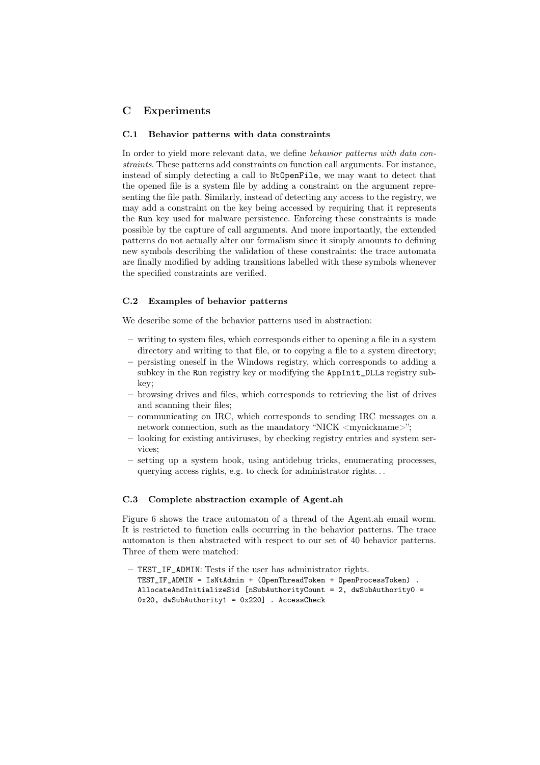# C Experiments

#### C.1 Behavior patterns with data constraints

In order to yield more relevant data, we define behavior patterns with data constraints. These patterns add constraints on function call arguments. For instance, instead of simply detecting a call to NtOpenFile, we may want to detect that the opened file is a system file by adding a constraint on the argument representing the file path. Similarly, instead of detecting any access to the registry, we may add a constraint on the key being accessed by requiring that it represents the Run key used for malware persistence. Enforcing these constraints is made possible by the capture of call arguments. And more importantly, the extended patterns do not actually alter our formalism since it simply amounts to defining new symbols describing the validation of these constraints: the trace automata are finally modified by adding transitions labelled with these symbols whenever the specified constraints are verified.

#### C.2 Examples of behavior patterns

We describe some of the behavior patterns used in abstraction:

- writing to system files, which corresponds either to opening a file in a system directory and writing to that file, or to copying a file to a system directory;
- persisting oneself in the Windows registry, which corresponds to adding a subkey in the Run registry key or modifying the AppInit\_DLLs registry subkey;
- browsing drives and files, which corresponds to retrieving the list of drives and scanning their files;
- communicating on IRC, which corresponds to sending IRC messages on a network connection, such as the mandatory "NICK  $\langle$  mynickname $\rangle$ ";
- looking for existing antiviruses, by checking registry entries and system services<sup>.</sup>
- setting up a system hook, using antidebug tricks, enumerating processes, querying access rights, e.g. to check for administrator rights. . .

#### C.3 Complete abstraction example of Agent.ah

Figure 6 shows the trace automaton of a thread of the Agent.ah email worm. It is restricted to function calls occurring in the behavior patterns. The trace automaton is then abstracted with respect to our set of 40 behavior patterns. Three of them were matched:

```
– TEST_IF_ADMIN: Tests if the user has administrator rights.
  TEST_IF_ADMIN = IsNtAdmin + (OpenThreadToken + OpenProcessToken) .
  AllocateAndInitializeSid [nSubAuthorityCount = 2, dwSubAuthority0 =
  0x20, dwSubAuthority1 = 0x220] . AccessCheck
```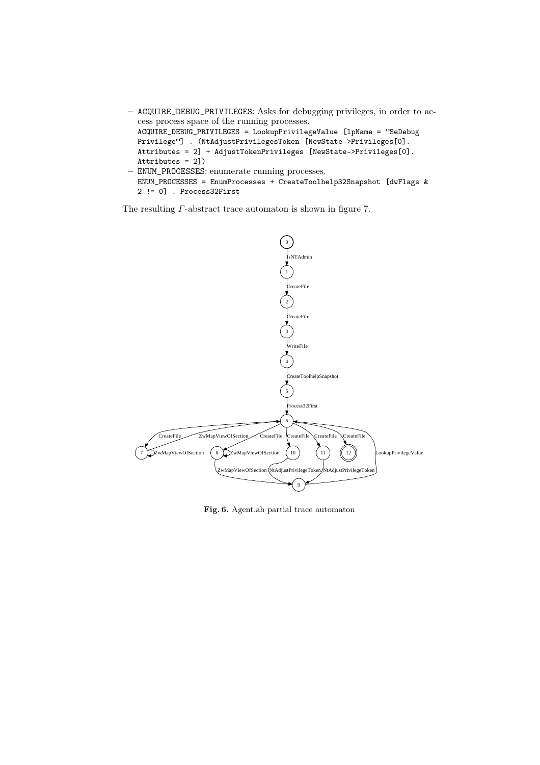```
– ACQUIRE_DEBUG_PRIVILEGES: Asks for debugging privileges, in order to ac-
  cess process space of the running processes.
  ACQUIRE_DEBUG_PRIVILEGES = LookupPrivilegeValue [lpName = "SeDebug
  Privilege"] . (NtAdjustPrivilegesToken [NewState->Privileges[0].
  Attributes = 2] + AdjustTokenPrivileges [NewState->Privileges[0].
  Attributes = 2])
– ENUM_PROCESSES: enumerate running processes.
  ENUM_PROCESSES = EnumProcesses + CreateToolhelp32Snapshot [dwFlags &
```
2 != 0] . Process32First

The resulting  $\Gamma$ -abstract trace automaton is shown in figure 7.



Fig. 6. Agent.ah partial trace automaton